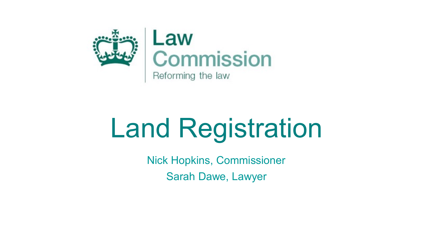

# Land Registration

Nick Hopkins, Commissioner Sarah Dawe, Lawyer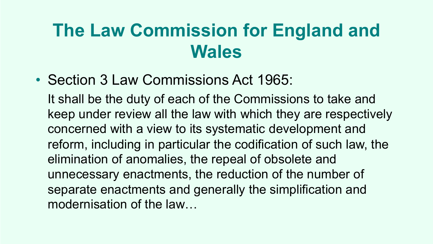## **The Law Commission for England and Wales**

• Section 3 Law Commissions Act 1965:

It shall be the duty of each of the Commissions to take and keep under review all the law with which they are respectively concerned with a view to its systematic development and reform, including in particular the codification of such law, the elimination of anomalies, the repeal of obsolete and unnecessary enactments, the reduction of the number of separate enactments and generally the simplification and modernisation of the law…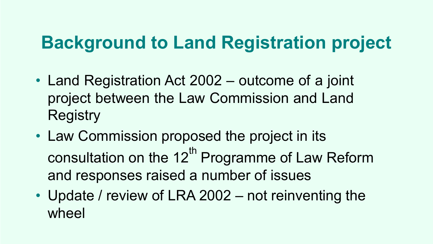#### **Background to Land Registration project**

- Land Registration Act 2002 outcome of a joint project between the Law Commission and Land **Registry**
- Law Commission proposed the project in its consultation on the 12<sup>th</sup> Programme of Law Reform and responses raised a number of issues
- Update / review of LRA 2002 not reinventing the wheel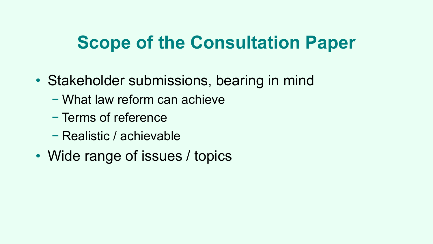#### **Scope of the Consultation Paper**

- Stakeholder submissions, bearing in mind
	- − What law reform can achieve
	- − Terms of reference
	- − Realistic / achievable
- Wide range of issues / topics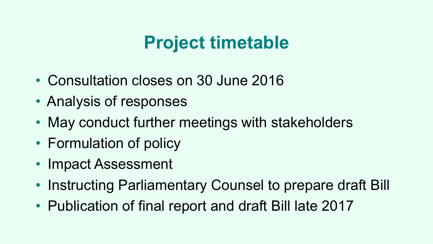#### **Project timetable**

- Consultation closes on 30 June 2016
- Analysis of responses
- May conduct further meetings with stakeholders
- Formulation of policy
- Impact Assessment
- Instructing Parliamentary Counsel to prepare draft Bill
- Publication of final report and draft Bill late 2017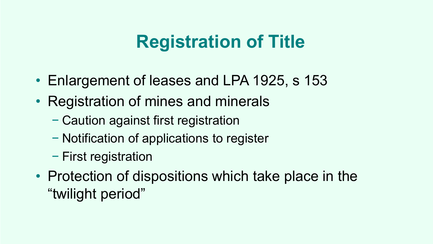## **Registration of Title**

- Enlargement of leases and LPA 1925, s 153
- Registration of mines and minerals
	- − Caution against first registration
	- − Notification of applications to register
	- − First registration
- Protection of dispositions which take place in the "twilight period"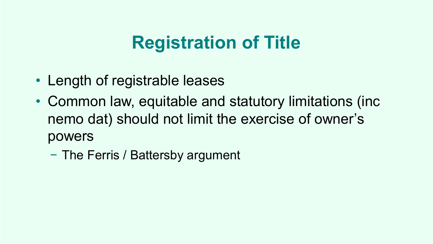#### **Registration of Title**

- Length of registrable leases
- Common law, equitable and statutory limitations (inc nemo dat) should not limit the exercise of owner's powers
	- − The Ferris / Battersby argument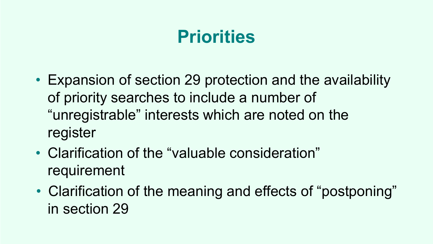## **Priorities**

- Expansion of section 29 protection and the availability of priority searches to include a number of "unregistrable" interests which are noted on the register
- Clarification of the "valuable consideration" requirement
- Clarification of the meaning and effects of "postponing" in section 29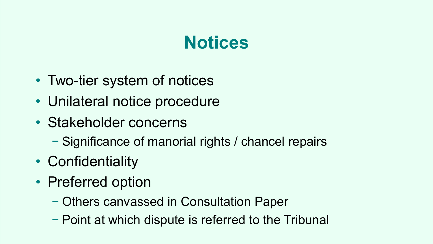#### **Notices**

- Two-tier system of notices
- Unilateral notice procedure
- Stakeholder concerns
	- − Significance of manorial rights / chancel repairs
- Confidentiality
- Preferred option
	- − Others canvassed in Consultation Paper
	- − Point at which dispute is referred to the Tribunal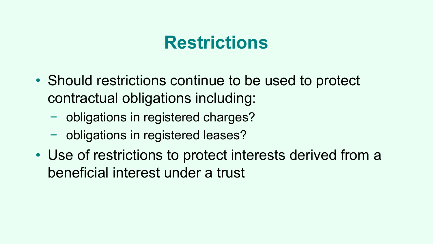#### **Restrictions**

- Should restrictions continue to be used to protect contractual obligations including:
	- − obligations in registered charges?
	- − obligations in registered leases?
- Use of restrictions to protect interests derived from a beneficial interest under a trust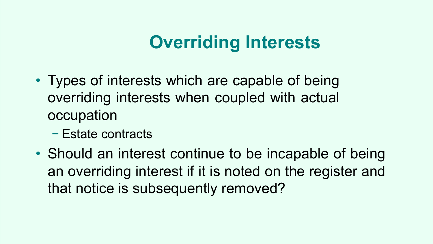## **Overriding Interests**

- Types of interests which are capable of being overriding interests when coupled with actual occupation
	- − Estate contracts
- Should an interest continue to be incapable of being an overriding interest if it is noted on the register and that notice is subsequently removed?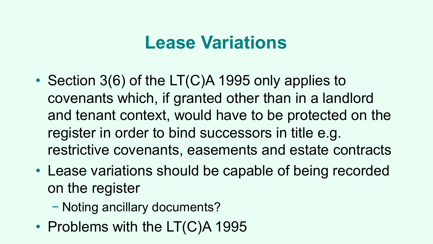#### **Lease Variations**

- Section 3(6) of the LT(C)A 1995 only applies to covenants which, if granted other than in a landlord and tenant context, would have to be protected on the register in order to bind successors in title e.g. restrictive covenants, easements and estate contracts
- Lease variations should be capable of being recorded on the register
	- − Noting ancillary documents?
- Problems with the LT(C)A 1995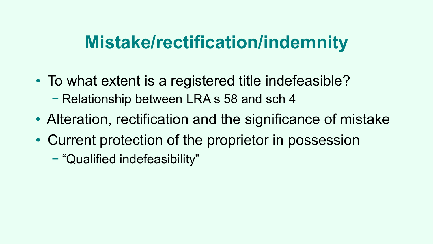#### **Mistake/rectification/indemnity**

- To what extent is a registered title indefeasible? − Relationship between LRA s 58 and sch 4
- Alteration, rectification and the significance of mistake
- Current protection of the proprietor in possession
	- − "Qualified indefeasibility"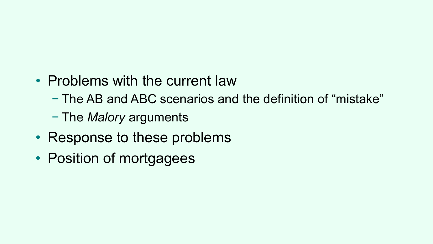#### • Problems with the current law

- − The AB and ABC scenarios and the definition of "mistake"
- − The *Malory* arguments
- Response to these problems
- Position of mortgagees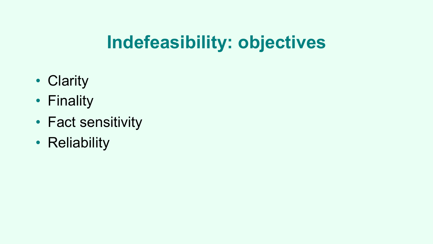## **Indefeasibility: objectives**

- Clarity
- Finality
- Fact sensitivity
- Reliability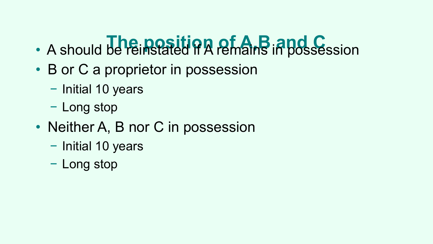## **h** A should be reinstated if A remains in possession

- B or C a proprietor in possession
	- − Initial 10 years
	- − Long stop
- Neither A, B nor C in possession
	- − Initial 10 years
	- − Long stop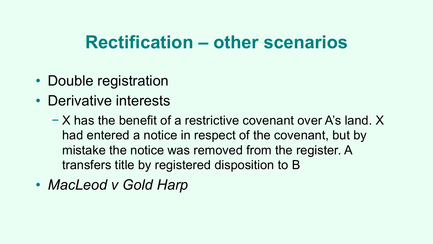#### **Rectification – other scenarios**

- Double registration
- Derivative interests
	- − X has the benefit of a restrictive covenant over A's land. X had entered a notice in respect of the covenant, but by mistake the notice was removed from the register. A transfers title by registered disposition to B
- *MacLeod v Gold Harp*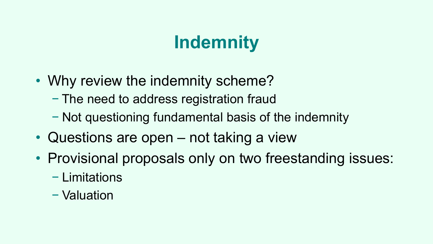## **Indemnity**

- Why review the indemnity scheme?
	- − The need to address registration fraud
	- − Not questioning fundamental basis of the indemnity
- Questions are open not taking a view
- Provisional proposals only on two freestanding issues:
	- − Limitations
	- − Valuation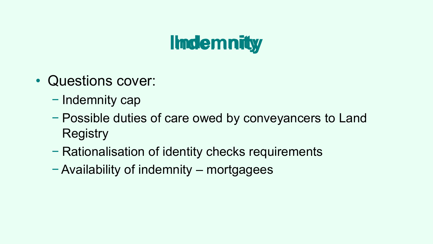## **IImdemnity**

- Questions cover:
	- − Indemnity cap
	- − Possible duties of care owed by conveyancers to Land **Registry**
	- − Rationalisation of identity checks requirements
	- − Availability of indemnity mortgagees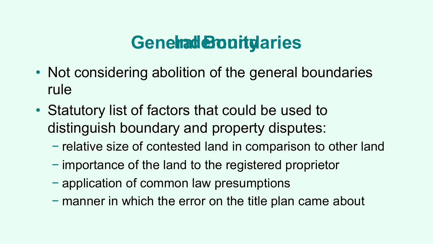#### **Generad Bourty aries**

- Not considering abolition of the general boundaries rule
- Statutory list of factors that could be used to distinguish boundary and property disputes:
	- − relative size of contested land in comparison to other land
	- − importance of the land to the registered proprietor
	- − application of common law presumptions
	- − manner in which the error on the title plan came about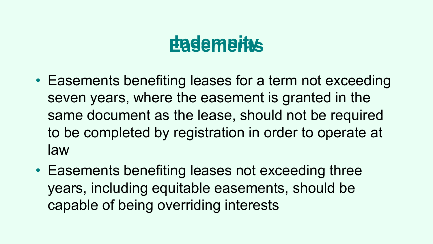## **Eadements**

- Easements benefiting leases for a term not exceeding seven years, where the easement is granted in the same document as the lease, should not be required to be completed by registration in order to operate at law
- Easements benefiting leases not exceeding three years, including equitable easements, should be capable of being overriding interests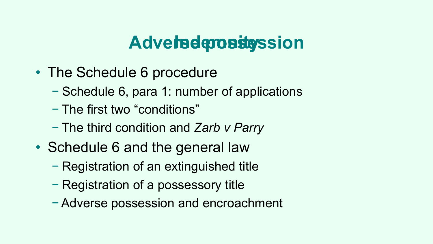## **Adversee** *sea**segssion*

- The Schedule 6 procedure
	- − Schedule 6, para 1: number of applications
	- − The first two "conditions"
	- − The third condition and *Zarb v Parry*
- Schedule 6 and the general law
	- − Registration of an extinguished title
	- − Registration of a possessory title
	- − Adverse possession and encroachment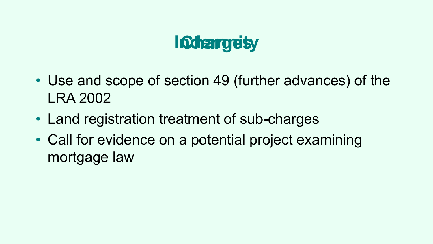## **Indhampelsy**

- Use and scope of section 49 (further advances) of the LRA 2002
- Land registration treatment of sub-charges
- Call for evidence on a potential project examining mortgage law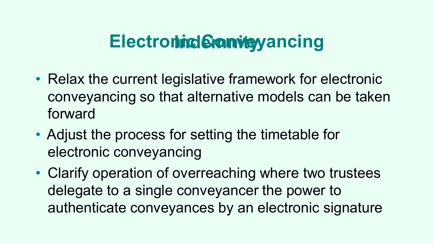#### **Electronind Conveyancing**

- Relax the current legislative framework for electronic conveyancing so that alternative models can be taken forward
- Adjust the process for setting the timetable for electronic conveyancing
- Clarify operation of overreaching where two trustees delegate to a single conveyancer the power to authenticate conveyances by an electronic signature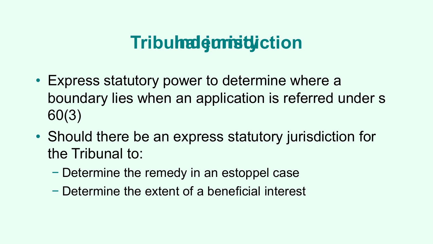## **Tribulnal emistiction**

- Express statutory power to determine where a boundary lies when an application is referred under s 60(3)
- Should there be an express statutory jurisdiction for the Tribunal to:
	- − Determine the remedy in an estoppel case
	- − Determine the extent of a beneficial interest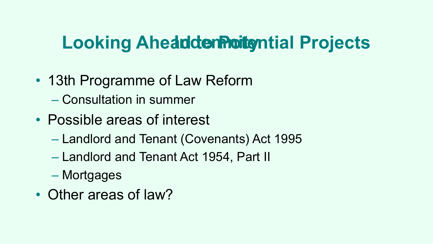#### **Looking Aheadder Profects**

- 13th Programme of Law Reform
	- Consultation in summer
- Possible areas of interest
	- Landlord and Tenant (Covenants) Act 1995
	- Landlord and Tenant Act 1954, Part II
	- Mortgages
- Other areas of law?